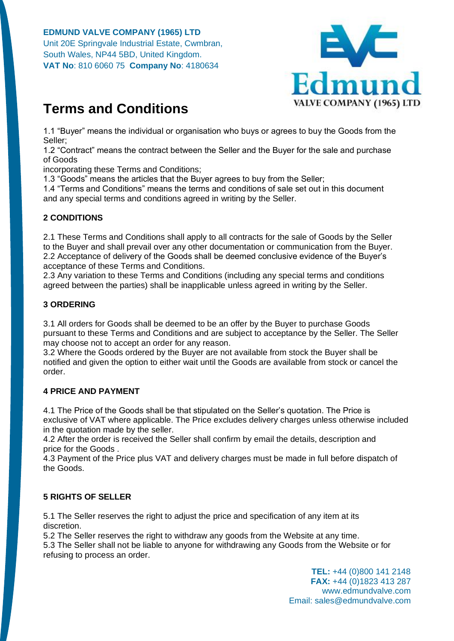

# **Terms and Conditions**

1.1 "Buyer" means the individual or organisation who buys or agrees to buy the Goods from the Seller;

1.2 "Contract" means the contract between the Seller and the Buyer for the sale and purchase of Goods

incorporating these Terms and Conditions;

1.3 "Goods" means the articles that the Buyer agrees to buy from the Seller;

1.4 "Terms and Conditions" means the terms and conditions of sale set out in this document and any special terms and conditions agreed in writing by the Seller.

# **2 CONDITIONS**

2.1 These Terms and Conditions shall apply to all contracts for the sale of Goods by the Seller to the Buyer and shall prevail over any other documentation or communication from the Buyer. 2.2 Acceptance of delivery of the Goods shall be deemed conclusive evidence of the Buyer's acceptance of these Terms and Conditions.

2.3 Any variation to these Terms and Conditions (including any special terms and conditions agreed between the parties) shall be inapplicable unless agreed in writing by the Seller.

## **3 ORDERING**

3.1 All orders for Goods shall be deemed to be an offer by the Buyer to purchase Goods pursuant to these Terms and Conditions and are subject to acceptance by the Seller. The Seller may choose not to accept an order for any reason.

3.2 Where the Goods ordered by the Buyer are not available from stock the Buyer shall be notified and given the option to either wait until the Goods are available from stock or cancel the order.

# **4 PRICE AND PAYMENT**

4.1 The Price of the Goods shall be that stipulated on the Seller's quotation. The Price is exclusive of VAT where applicable. The Price excludes delivery charges unless otherwise included in the quotation made by the seller.

4.2 After the order is received the Seller shall confirm by email the details, description and price for the Goods .

4.3 Payment of the Price plus VAT and delivery charges must be made in full before dispatch of the Goods.

# **5 RIGHTS OF SELLER**

5.1 The Seller reserves the right to adjust the price and specification of any item at its discretion.

5.2 The Seller reserves the right to withdraw any goods from the Website at any time.

5.3 The Seller shall not be liable to anyone for withdrawing any Goods from the Website or for refusing to process an order.

> **TEL:** +44 (0)800 141 2148 **FAX:** +44 (0)1823 413 287 www.edmundvalve.com Email: sales@edmundvalve.com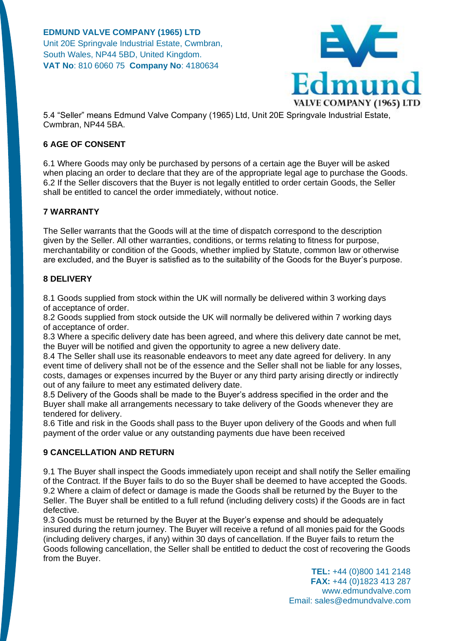

5.4 "Seller" means Edmund Valve Company (1965) Ltd, Unit 20E Springvale Industrial Estate, Cwmbran, NP44 5BA.

## **6 AGE OF CONSENT**

6.1 Where Goods may only be purchased by persons of a certain age the Buyer will be asked when placing an order to declare that they are of the appropriate legal age to purchase the Goods. 6.2 If the Seller discovers that the Buyer is not legally entitled to order certain Goods, the Seller shall be entitled to cancel the order immediately, without notice.

## **7 WARRANTY**

The Seller warrants that the Goods will at the time of dispatch correspond to the description given by the Seller. All other warranties, conditions, or terms relating to fitness for purpose, merchantability or condition of the Goods, whether implied by Statute, common law or otherwise are excluded, and the Buyer is satisfied as to the suitability of the Goods for the Buyer's purpose.

## **8 DELIVERY**

8.1 Goods supplied from stock within the UK will normally be delivered within 3 working days of acceptance of order.

8.2 Goods supplied from stock outside the UK will normally be delivered within 7 working days of acceptance of order.

8.3 Where a specific delivery date has been agreed, and where this delivery date cannot be met, the Buyer will be notified and given the opportunity to agree a new delivery date.

8.4 The Seller shall use its reasonable endeavors to meet any date agreed for delivery. In any event time of delivery shall not be of the essence and the Seller shall not be liable for any losses, costs, damages or expenses incurred by the Buyer or any third party arising directly or indirectly out of any failure to meet any estimated delivery date.

8.5 Delivery of the Goods shall be made to the Buyer's address specified in the order and the Buyer shall make all arrangements necessary to take delivery of the Goods whenever they are tendered for delivery.

8.6 Title and risk in the Goods shall pass to the Buyer upon delivery of the Goods and when full payment of the order value or any outstanding payments due have been received

#### **9 CANCELLATION AND RETURN**

9.1 The Buyer shall inspect the Goods immediately upon receipt and shall notify the Seller emailing of the Contract. If the Buyer fails to do so the Buyer shall be deemed to have accepted the Goods. 9.2 Where a claim of defect or damage is made the Goods shall be returned by the Buyer to the Seller. The Buyer shall be entitled to a full refund (including delivery costs) if the Goods are in fact defective.

9.3 Goods must be returned by the Buyer at the Buyer's expense and should be adequately insured during the return journey. The Buyer will receive a refund of all monies paid for the Goods (including delivery charges, if any) within 30 days of cancellation. If the Buyer fails to return the Goods following cancellation, the Seller shall be entitled to deduct the cost of recovering the Goods from the Buyer.

> **TEL:** +44 (0)800 141 2148 **FAX:** +44 (0)1823 413 287 www.edmundvalve.com Email: sales@edmundvalve.com